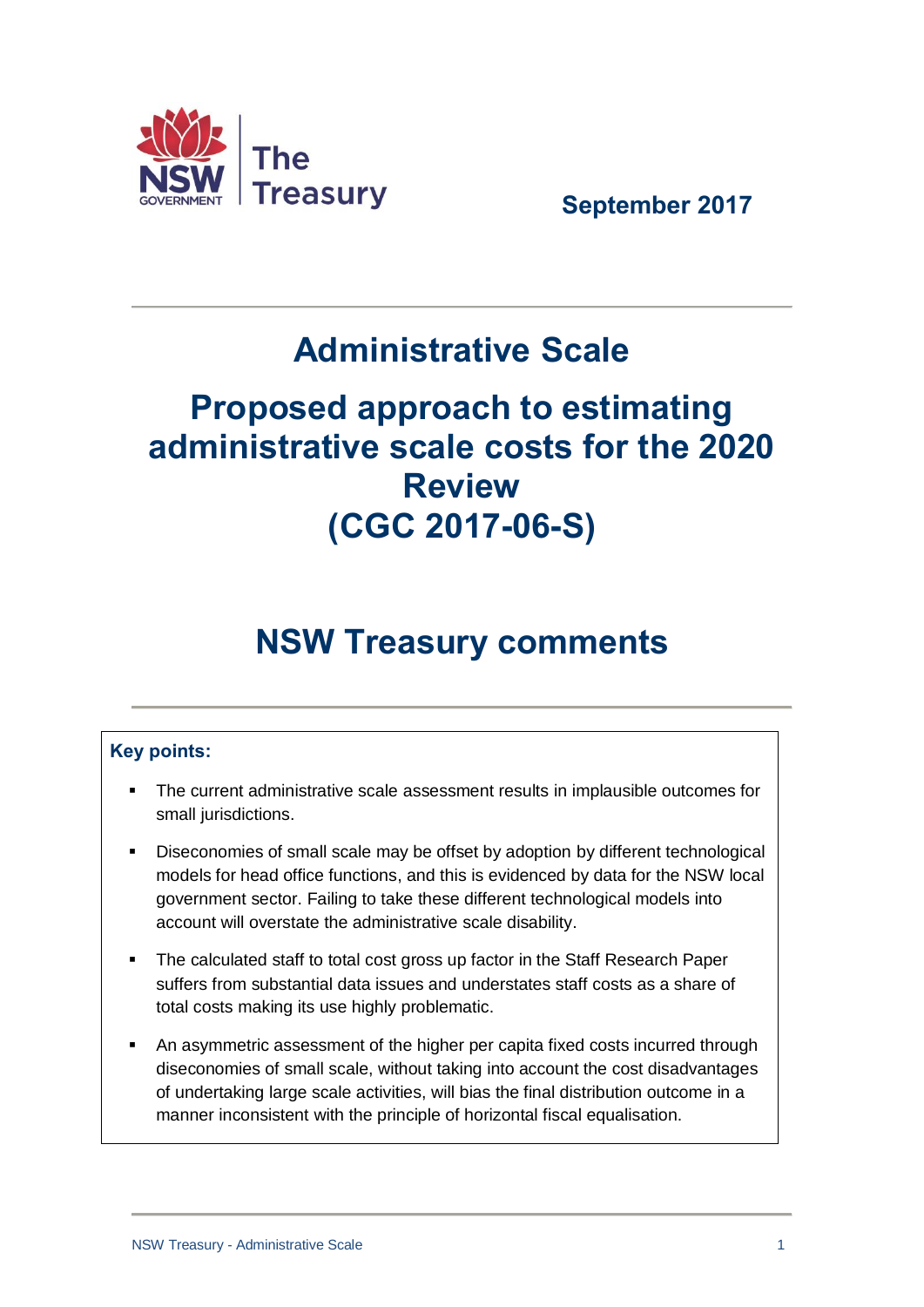

 **September 2017**

# **Administrative Scale**

# **Proposed approach to estimating administrative scale costs for the 2020 Review (CGC 2017-06-S)**

# **NSW Treasury comments**

## **Key points:**

- The current administrative scale assessment results in implausible outcomes for small jurisdictions.
- Diseconomies of small scale may be offset by adoption by different technological models for head office functions, and this is evidenced by data for the NSW local government sector. Failing to take these different technological models into account will overstate the administrative scale disability.
- The calculated staff to total cost gross up factor in the Staff Research Paper suffers from substantial data issues and understates staff costs as a share of total costs making its use highly problematic.
- An asymmetric assessment of the higher per capita fixed costs incurred through diseconomies of small scale, without taking into account the cost disadvantages of undertaking large scale activities, will bias the final distribution outcome in a manner inconsistent with the principle of horizontal fiscal equalisation.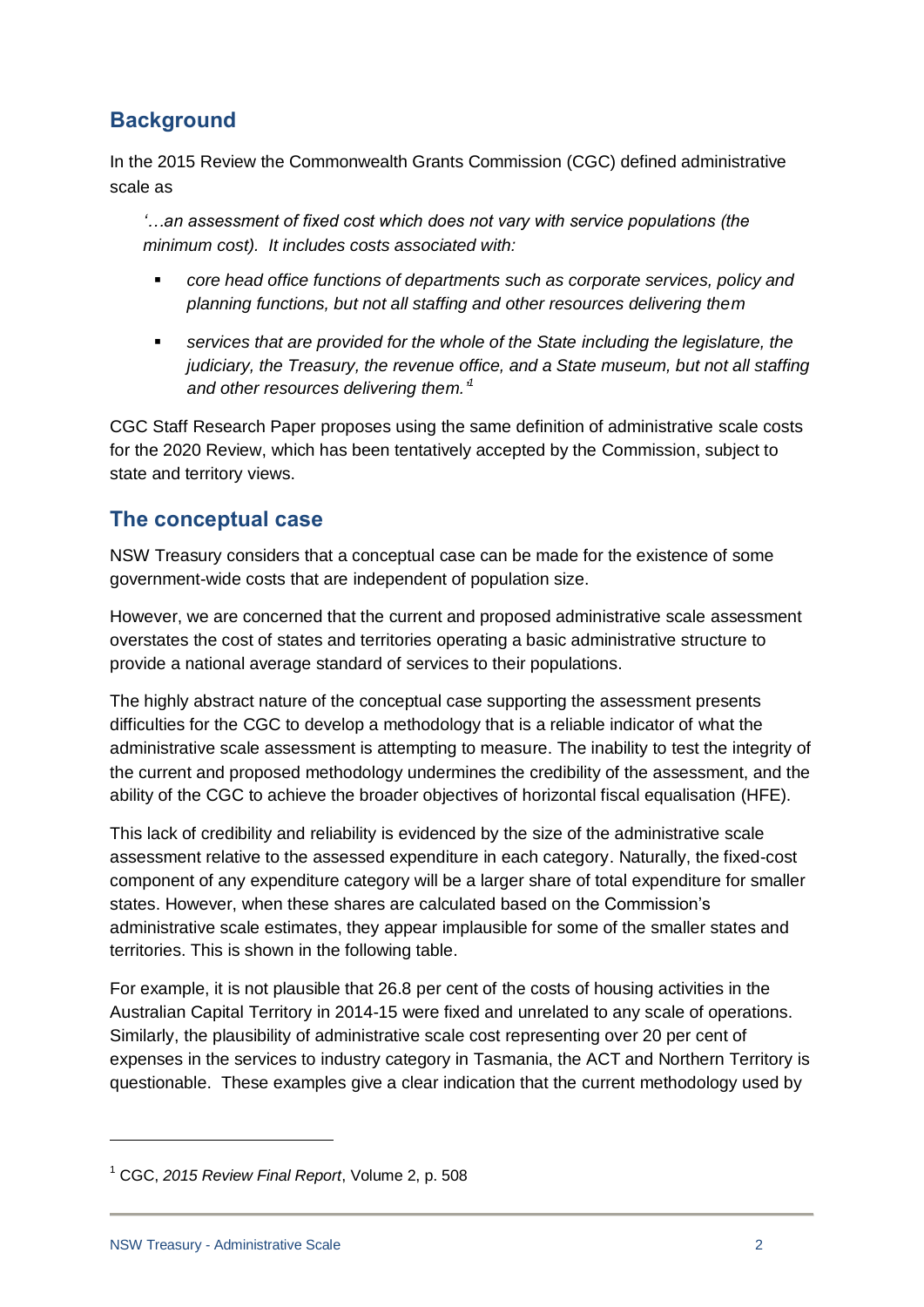# **Background**

In the 2015 Review the Commonwealth Grants Commission (CGC) defined administrative scale as

*'…an assessment of fixed cost which does not vary with service populations (the minimum cost). It includes costs associated with:*

- *core head office functions of departments such as corporate services, policy and planning functions, but not all staffing and other resources delivering them*
- *services that are provided for the whole of the State including the legislature, the judiciary, the Treasury, the revenue office, and a State museum, but not all staffing and other resources delivering them.' 1*

CGC Staff Research Paper proposes using the same definition of administrative scale costs for the 2020 Review, which has been tentatively accepted by the Commission, subject to state and territory views.

## **The conceptual case**

NSW Treasury considers that a conceptual case can be made for the existence of some government-wide costs that are independent of population size.

However, we are concerned that the current and proposed administrative scale assessment overstates the cost of states and territories operating a basic administrative structure to provide a national average standard of services to their populations.

The highly abstract nature of the conceptual case supporting the assessment presents difficulties for the CGC to develop a methodology that is a reliable indicator of what the administrative scale assessment is attempting to measure. The inability to test the integrity of the current and proposed methodology undermines the credibility of the assessment, and the ability of the CGC to achieve the broader objectives of horizontal fiscal equalisation (HFE).

This lack of credibility and reliability is evidenced by the size of the administrative scale assessment relative to the assessed expenditure in each category. Naturally, the fixed-cost component of any expenditure category will be a larger share of total expenditure for smaller states. However, when these shares are calculated based on the Commission's administrative scale estimates, they appear implausible for some of the smaller states and territories. This is shown in the following table.

For example, it is not plausible that 26.8 per cent of the costs of housing activities in the Australian Capital Territory in 2014-15 were fixed and unrelated to any scale of operations. Similarly, the plausibility of administrative scale cost representing over 20 per cent of expenses in the services to industry category in Tasmania, the ACT and Northern Territory is questionable. These examples give a clear indication that the current methodology used by

-

<sup>1</sup> CGC, *2015 Review Final Report*, Volume 2, p. 508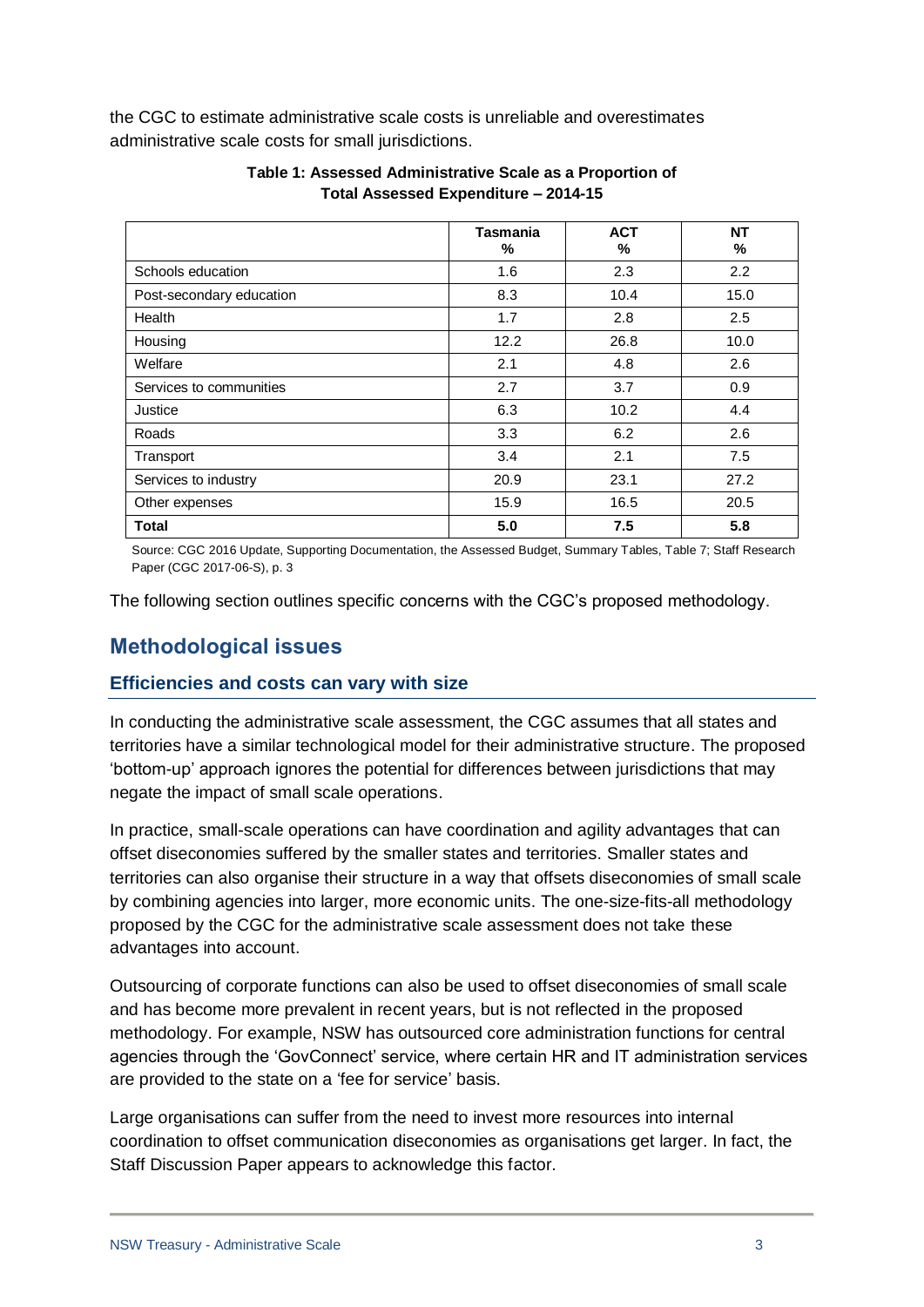the CGC to estimate administrative scale costs is unreliable and overestimates administrative scale costs for small jurisdictions.

|                          | <b>Tasmania</b><br>% | <b>ACT</b><br>% | <b>NT</b><br>% |
|--------------------------|----------------------|-----------------|----------------|
| Schools education        | 1.6                  | 2.3             | 2.2            |
| Post-secondary education | 8.3                  | 10.4            | 15.0           |
| Health                   | 1.7                  | 2.8             | 2.5            |
| Housing                  | 12.2                 | 26.8            | 10.0           |
| Welfare                  | 2.1                  | 4.8             | 2.6            |
| Services to communities  | 2.7                  | 3.7             | 0.9            |
| Justice                  | 6.3                  | 10.2            | 4.4            |
| Roads                    | 3.3                  | 6.2             | 2.6            |
| Transport                | 3.4                  | 2.1             | 7.5            |
| Services to industry     | 20.9                 | 23.1            | 27.2           |
| Other expenses           | 15.9                 | 16.5            | 20.5           |
| Total                    | 5.0                  | 7.5             | 5.8            |

#### **Table 1: Assessed Administrative Scale as a Proportion of Total Assessed Expenditure – 2014-15**

Source: CGC 2016 Update, Supporting Documentation, the Assessed Budget, Summary Tables, Table 7; Staff Research Paper (CGC 2017-06-S), p. 3

The following section outlines specific concerns with the CGC's proposed methodology.

## **Methodological issues**

### **Efficiencies and costs can vary with size**

In conducting the administrative scale assessment, the CGC assumes that all states and territories have a similar technological model for their administrative structure. The proposed 'bottom-up' approach ignores the potential for differences between jurisdictions that may negate the impact of small scale operations.

In practice, small-scale operations can have coordination and agility advantages that can offset diseconomies suffered by the smaller states and territories. Smaller states and territories can also organise their structure in a way that offsets diseconomies of small scale by combining agencies into larger, more economic units. The one-size-fits-all methodology proposed by the CGC for the administrative scale assessment does not take these advantages into account.

Outsourcing of corporate functions can also be used to offset diseconomies of small scale and has become more prevalent in recent years, but is not reflected in the proposed methodology. For example, NSW has outsourced core administration functions for central agencies through the 'GovConnect' service, where certain HR and IT administration services are provided to the state on a 'fee for service' basis.

Large organisations can suffer from the need to invest more resources into internal coordination to offset communication diseconomies as organisations get larger. In fact, the Staff Discussion Paper appears to acknowledge this factor.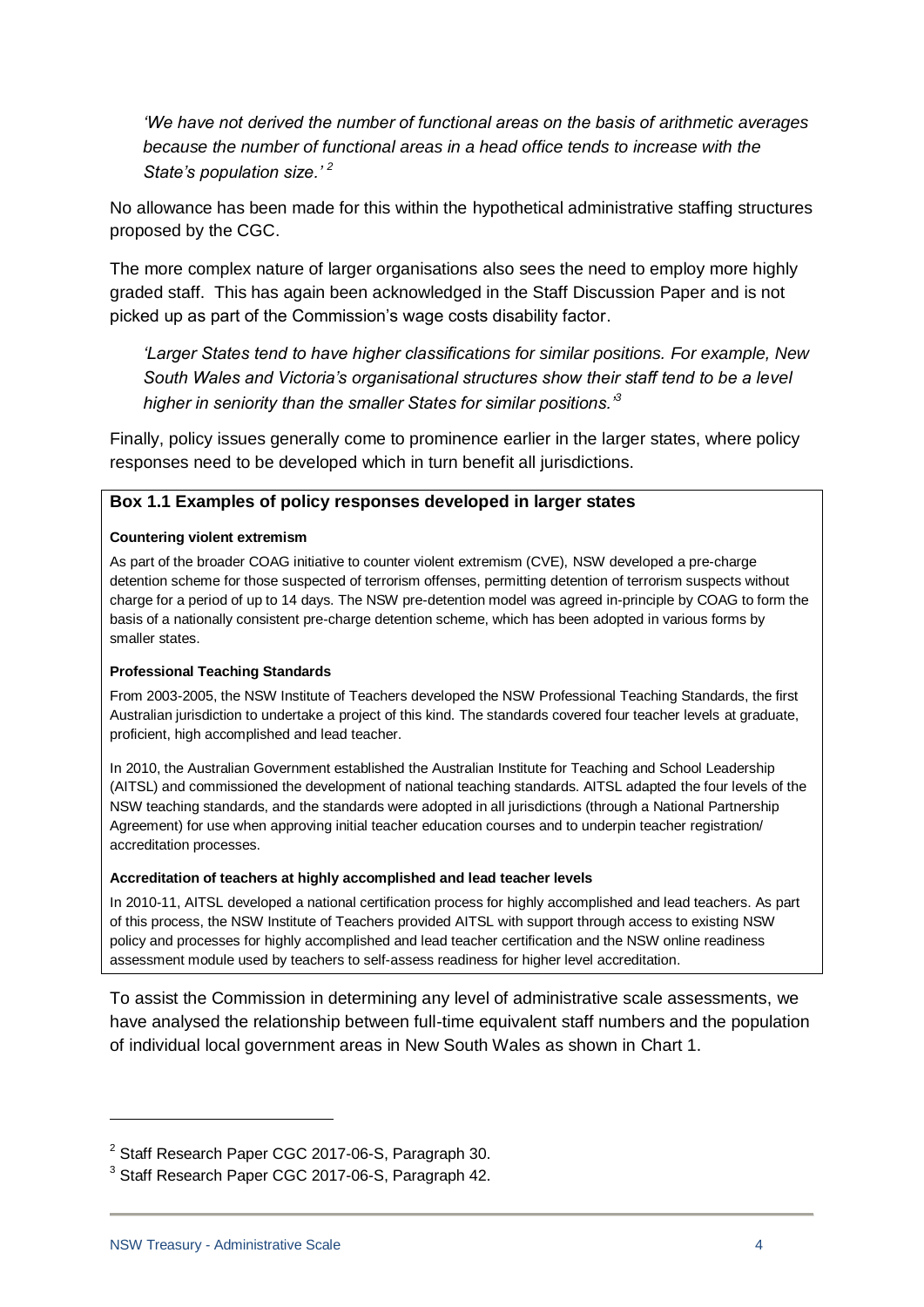*'We have not derived the number of functional areas on the basis of arithmetic averages because the number of functional areas in a head office tends to increase with the State's population size.' <sup>2</sup>*

No allowance has been made for this within the hypothetical administrative staffing structures proposed by the CGC.

The more complex nature of larger organisations also sees the need to employ more highly graded staff. This has again been acknowledged in the Staff Discussion Paper and is not picked up as part of the Commission's wage costs disability factor.

*'Larger States tend to have higher classifications for similar positions. For example, New South Wales and Victoria's organisational structures show their staff tend to be a level higher in seniority than the smaller States for similar positions.'<sup>3</sup>*

Finally, policy issues generally come to prominence earlier in the larger states, where policy responses need to be developed which in turn benefit all jurisdictions.

#### **Box 1.1 Examples of policy responses developed in larger states**

#### **Countering violent extremism**

As part of the broader COAG initiative to counter violent extremism (CVE), NSW developed a pre-charge detention scheme for those suspected of terrorism offenses, permitting detention of terrorism suspects without charge for a period of up to 14 days. The NSW pre-detention model was agreed in-principle by COAG to form the basis of a nationally consistent pre-charge detention scheme, which has been adopted in various forms by smaller states.

#### **Professional Teaching Standards**

From 2003-2005, the NSW Institute of Teachers developed the NSW Professional Teaching Standards, the first Australian jurisdiction to undertake a project of this kind. The standards covered four teacher levels at graduate, proficient, high accomplished and lead teacher.

In 2010, the Australian Government established the Australian Institute for Teaching and School Leadership (AITSL) and commissioned the development of national teaching standards. AITSL adapted the four levels of the NSW teaching standards, and the standards were adopted in all jurisdictions (through a National Partnership Agreement) for use when approving initial teacher education courses and to underpin teacher registration/ accreditation processes.

#### **Accreditation of teachers at highly accomplished and lead teacher levels**

In 2010-11, AITSL developed a national certification process for highly accomplished and lead teachers. As part of this process, the NSW Institute of Teachers provided AITSL with support through access to existing NSW policy and processes for highly accomplished and lead teacher certification and the NSW online readiness assessment module used by teachers to self-assess readiness for higher level accreditation.

To assist the Commission in determining any level of administrative scale assessments, we have analysed the relationship between full-time equivalent staff numbers and the population of individual local government areas in New South Wales as shown in Chart 1.

1

<sup>&</sup>lt;sup>2</sup> Staff Research Paper CGC 2017-06-S, Paragraph 30.

<sup>&</sup>lt;sup>3</sup> Staff Research Paper CGC 2017-06-S, Paragraph 42.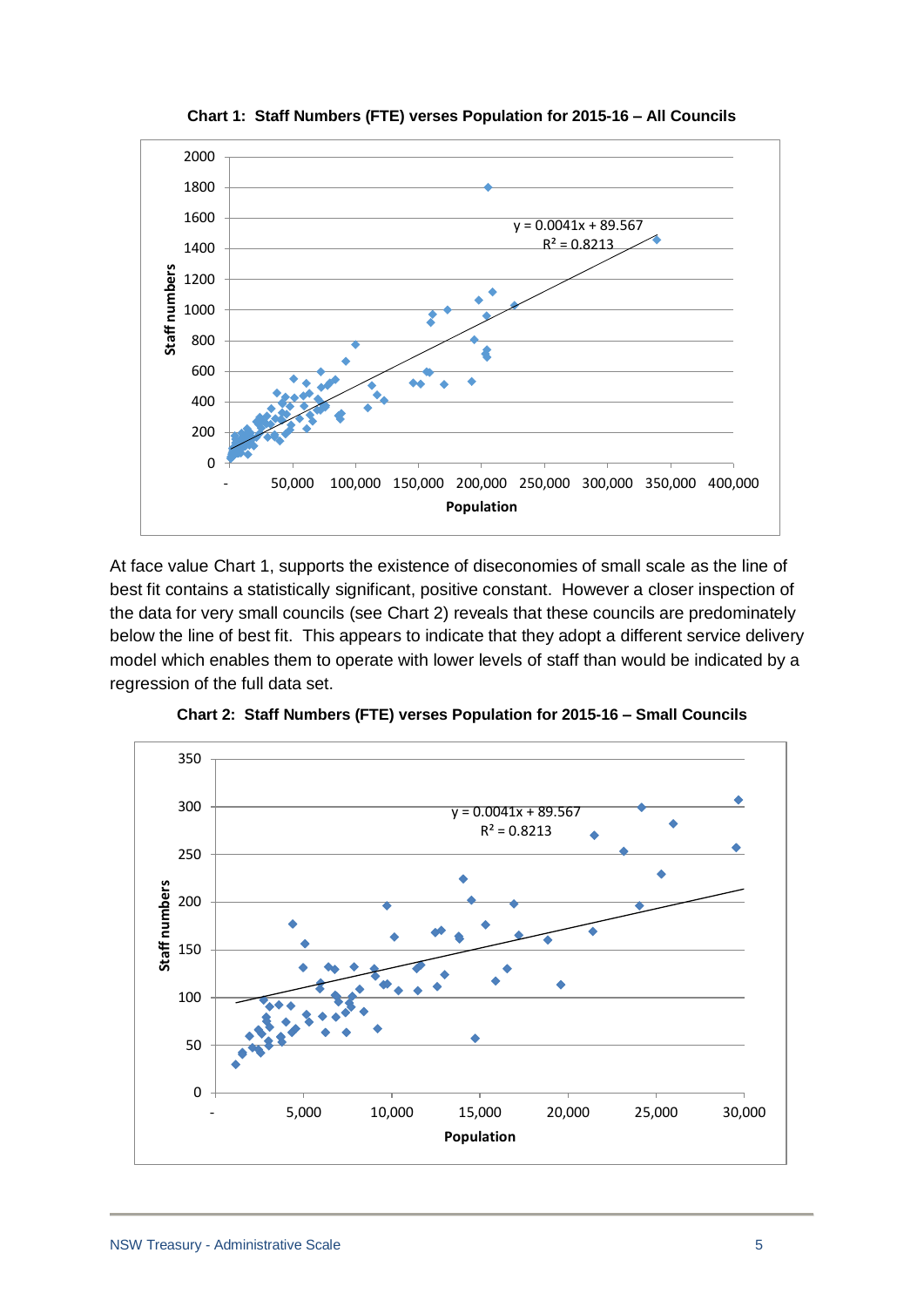

**Chart 1: Staff Numbers (FTE) verses Population for 2015-16 – All Councils**

At face value Chart 1, supports the existence of diseconomies of small scale as the line of best fit contains a statistically significant, positive constant. However a closer inspection of the data for very small councils (see Chart 2) reveals that these councils are predominately below the line of best fit. This appears to indicate that they adopt a different service delivery model which enables them to operate with lower levels of staff than would be indicated by a regression of the full data set.



**Chart 2: Staff Numbers (FTE) verses Population for 2015-16 – Small Councils**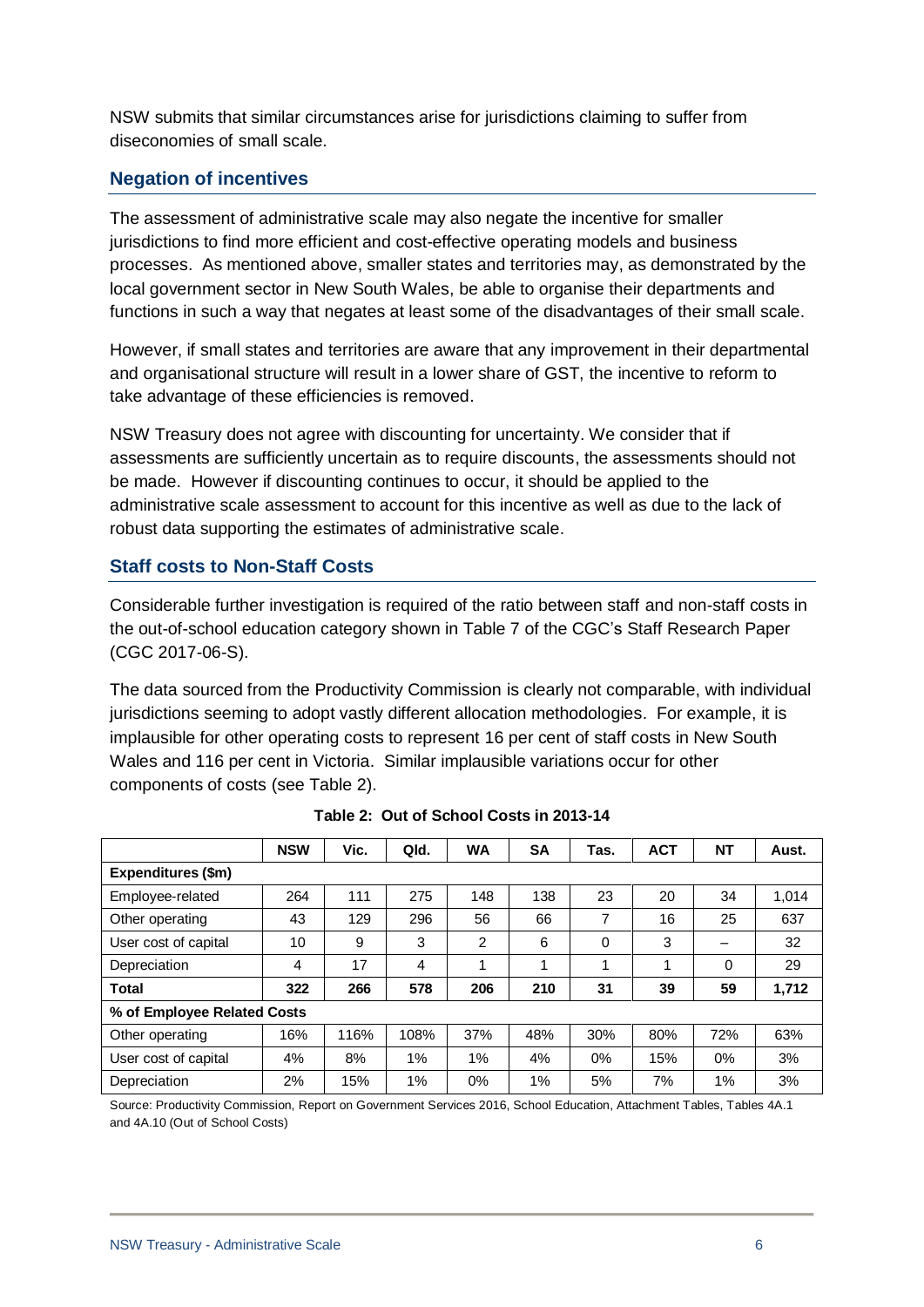NSW submits that similar circumstances arise for jurisdictions claiming to suffer from diseconomies of small scale.

### **Negation of incentives**

The assessment of administrative scale may also negate the incentive for smaller jurisdictions to find more efficient and cost-effective operating models and business processes. As mentioned above, smaller states and territories may, as demonstrated by the local government sector in New South Wales, be able to organise their departments and functions in such a way that negates at least some of the disadvantages of their small scale.

However, if small states and territories are aware that any improvement in their departmental and organisational structure will result in a lower share of GST, the incentive to reform to take advantage of these efficiencies is removed.

NSW Treasury does not agree with discounting for uncertainty. We consider that if assessments are sufficiently uncertain as to require discounts, the assessments should not be made. However if discounting continues to occur, it should be applied to the administrative scale assessment to account for this incentive as well as due to the lack of robust data supporting the estimates of administrative scale.

### **Staff costs to Non-Staff Costs**

Considerable further investigation is required of the ratio between staff and non-staff costs in the out-of-school education category shown in Table 7 of the CGC's Staff Research Paper (CGC 2017-06-S).

The data sourced from the Productivity Commission is clearly not comparable, with individual jurisdictions seeming to adopt vastly different allocation methodologies. For example, it is implausible for other operating costs to represent 16 per cent of staff costs in New South Wales and 116 per cent in Victoria. Similar implausible variations occur for other components of costs (see Table 2).

|                             | <b>NSW</b> | Vic. | Qld.  | <b>WA</b> | <b>SA</b> | Tas.  | <b>ACT</b> | NT  | Aust. |
|-----------------------------|------------|------|-------|-----------|-----------|-------|------------|-----|-------|
| Expenditures (\$m)          |            |      |       |           |           |       |            |     |       |
| Employee-related            | 264        | 111  | 275   | 148       | 138       | 23    | 20         | 34  | 1,014 |
| Other operating             | 43         | 129  | 296   | 56        | 66        | 7     | 16         | 25  | 637   |
| User cost of capital        | 10         | 9    | 3     | 2         | 6         | 0     | 3          | -   | 32    |
| Depreciation                | 4          | 17   | 4     |           | ◢         | 1     | 1          | 0   | 29    |
| Total                       | 322        | 266  | 578   | 206       | 210       | 31    | 39         | 59  | 1,712 |
| % of Employee Related Costs |            |      |       |           |           |       |            |     |       |
| Other operating             | 16%        | 116% | 108%  | 37%       | 48%       | 30%   | 80%        | 72% | 63%   |
| User cost of capital        | 4%         | 8%   | $1\%$ | 1%        | 4%        | $0\%$ | 15%        | 0%  | 3%    |
| Depreciation                | 2%         | 15%  | 1%    | $0\%$     | $1\%$     | 5%    | 7%         | 1%  | 3%    |

| Table 2: Out of School Costs in 2013-14 |
|-----------------------------------------|
|                                         |

Source: Productivity Commission, Report on Government Services 2016, School Education, Attachment Tables, Tables 4A.1 and 4A.10 (Out of School Costs)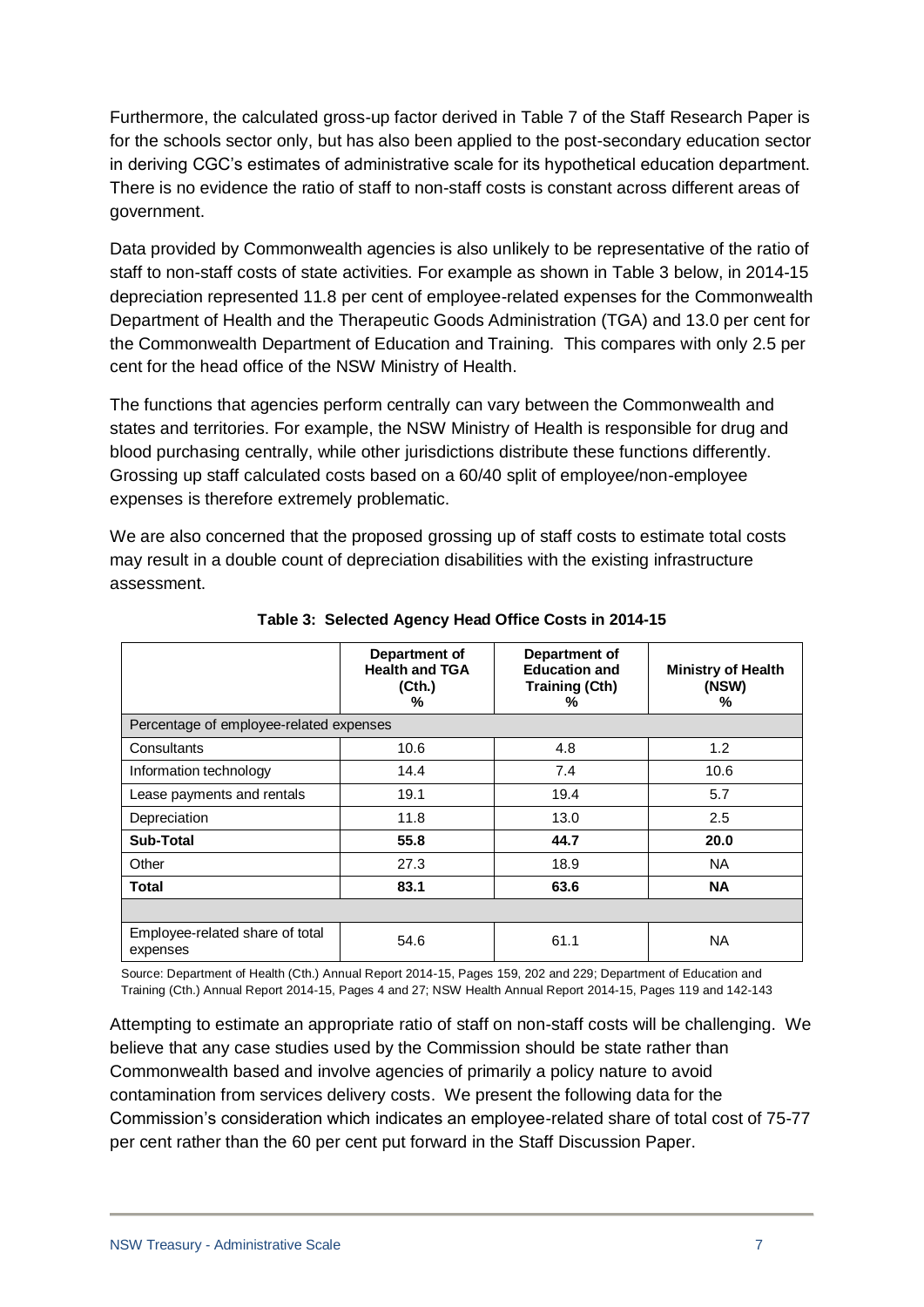Furthermore, the calculated gross-up factor derived in Table 7 of the Staff Research Paper is for the schools sector only, but has also been applied to the post-secondary education sector in deriving CGC's estimates of administrative scale for its hypothetical education department. There is no evidence the ratio of staff to non-staff costs is constant across different areas of government.

Data provided by Commonwealth agencies is also unlikely to be representative of the ratio of staff to non-staff costs of state activities. For example as shown in Table 3 below, in 2014-15 depreciation represented 11.8 per cent of employee-related expenses for the Commonwealth Department of Health and the Therapeutic Goods Administration (TGA) and 13.0 per cent for the Commonwealth Department of Education and Training. This compares with only 2.5 per cent for the head office of the NSW Ministry of Health.

The functions that agencies perform centrally can vary between the Commonwealth and states and territories. For example, the NSW Ministry of Health is responsible for drug and blood purchasing centrally, while other jurisdictions distribute these functions differently. Grossing up staff calculated costs based on a 60/40 split of employee/non-employee expenses is therefore extremely problematic.

We are also concerned that the proposed grossing up of staff costs to estimate total costs may result in a double count of depreciation disabilities with the existing infrastructure assessment.

|                                             | Department of<br><b>Health and TGA</b><br>(Cth.)<br>% | Department of<br><b>Education and</b><br><b>Training (Cth)</b><br>% | <b>Ministry of Health</b><br>(NSW)<br>% |  |  |  |
|---------------------------------------------|-------------------------------------------------------|---------------------------------------------------------------------|-----------------------------------------|--|--|--|
| Percentage of employee-related expenses     |                                                       |                                                                     |                                         |  |  |  |
| Consultants                                 | 10.6                                                  | 4.8                                                                 | 1.2                                     |  |  |  |
| Information technology                      | 14.4                                                  | 7.4                                                                 | 10.6                                    |  |  |  |
| Lease payments and rentals                  | 19.1                                                  | 19.4                                                                | 5.7                                     |  |  |  |
| Depreciation                                | 11.8                                                  | 13.0                                                                | 2.5                                     |  |  |  |
| <b>Sub-Total</b>                            | 55.8                                                  | 44.7                                                                | 20.0                                    |  |  |  |
| Other                                       | 27.3                                                  | 18.9                                                                | <b>NA</b>                               |  |  |  |
| <b>Total</b>                                | 83.1                                                  | 63.6                                                                | <b>NA</b>                               |  |  |  |
|                                             |                                                       |                                                                     |                                         |  |  |  |
| Employee-related share of total<br>expenses | 54.6                                                  | 61.1                                                                | <b>NA</b>                               |  |  |  |

**Table 3: Selected Agency Head Office Costs in 2014-15**

Source: Department of Health (Cth.) Annual Report 2014-15, Pages 159, 202 and 229; Department of Education and Training (Cth.) Annual Report 2014-15, Pages 4 and 27; NSW Health Annual Report 2014-15, Pages 119 and 142-143

Attempting to estimate an appropriate ratio of staff on non-staff costs will be challenging. We believe that any case studies used by the Commission should be state rather than Commonwealth based and involve agencies of primarily a policy nature to avoid contamination from services delivery costs. We present the following data for the Commission's consideration which indicates an employee-related share of total cost of 75-77 per cent rather than the 60 per cent put forward in the Staff Discussion Paper.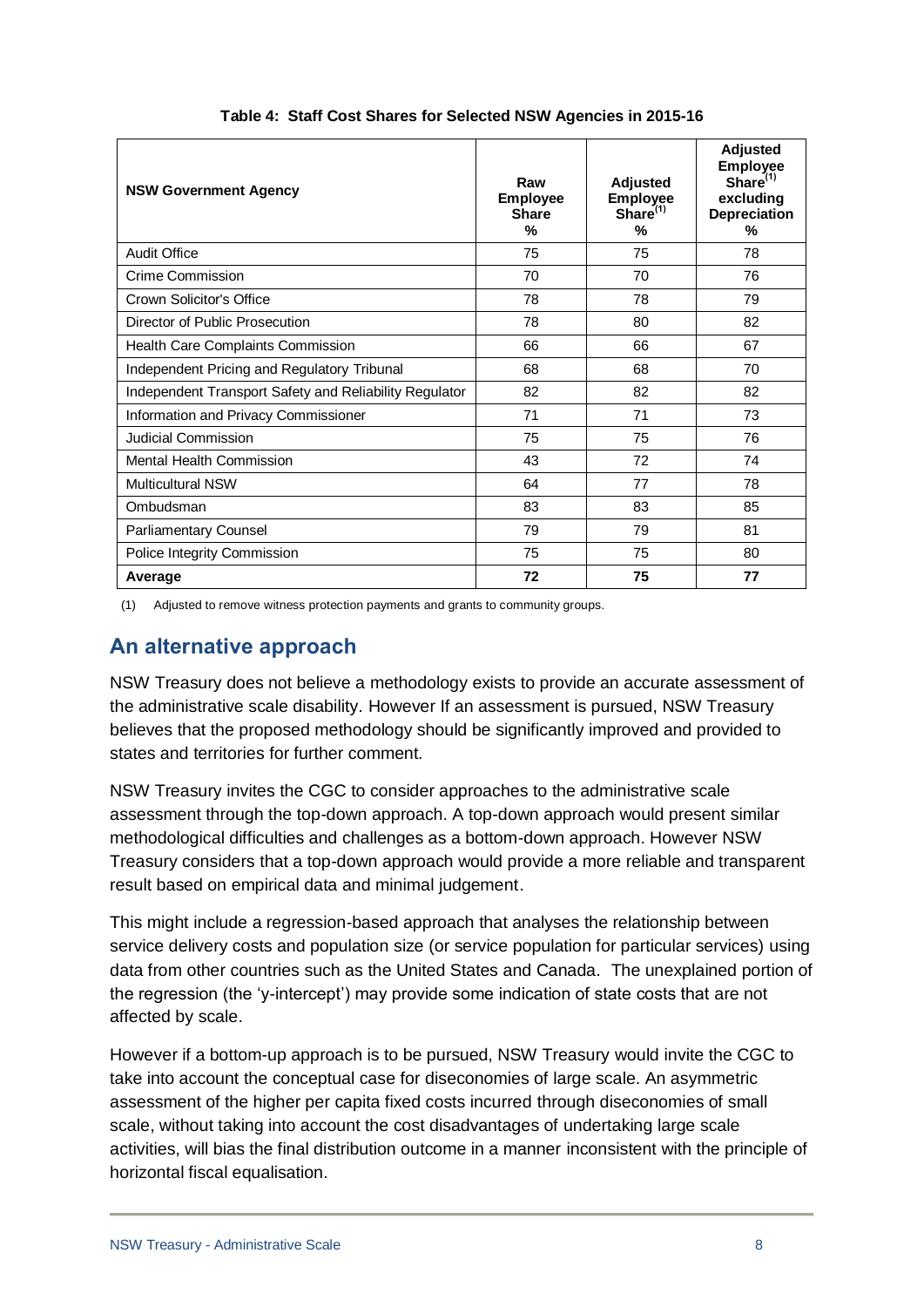| <b>NSW Government Agency</b>                           | Raw<br><b>Employee</b><br><b>Share</b><br>$\%$ | <b>Adjusted</b><br><b>Employee</b><br>Share <sup>(1)</sup><br>$\%$ | <b>Adjusted</b><br><b>Employee</b><br>Share $(1)$<br>excluding<br><b>Depreciation</b><br>% |
|--------------------------------------------------------|------------------------------------------------|--------------------------------------------------------------------|--------------------------------------------------------------------------------------------|
| <b>Audit Office</b>                                    | 75                                             | 75                                                                 | 78                                                                                         |
| Crime Commission                                       | 70                                             | 70                                                                 | 76                                                                                         |
| Crown Solicitor's Office                               | 78                                             | 78                                                                 | 79                                                                                         |
| Director of Public Prosecution                         | 78                                             | 80                                                                 | 82                                                                                         |
| Health Care Complaints Commission                      | 66                                             | 66                                                                 | 67                                                                                         |
| Independent Pricing and Regulatory Tribunal            | 68                                             | 68                                                                 | 70                                                                                         |
| Independent Transport Safety and Reliability Regulator | 82                                             | 82                                                                 | 82                                                                                         |
| Information and Privacy Commissioner                   | 71                                             | 71                                                                 | 73                                                                                         |
| <b>Judicial Commission</b>                             | 75                                             | 75                                                                 | 76                                                                                         |
| <b>Mental Health Commission</b>                        | 43                                             | 72                                                                 | 74                                                                                         |
| <b>Multicultural NSW</b>                               | 64                                             | 77                                                                 | 78                                                                                         |
| Ombudsman                                              | 83                                             | 83                                                                 | 85                                                                                         |
| Parliamentary Counsel                                  | 79                                             | 79                                                                 | 81                                                                                         |
| Police Integrity Commission                            | 75                                             | 75                                                                 | 80                                                                                         |
| Average                                                | 72                                             | 75                                                                 | 77                                                                                         |

#### **Table 4: Staff Cost Shares for Selected NSW Agencies in 2015-16**

(1) Adjusted to remove witness protection payments and grants to community groups.

# **An alternative approach**

NSW Treasury does not believe a methodology exists to provide an accurate assessment of the administrative scale disability. However If an assessment is pursued, NSW Treasury believes that the proposed methodology should be significantly improved and provided to states and territories for further comment.

NSW Treasury invites the CGC to consider approaches to the administrative scale assessment through the top-down approach. A top-down approach would present similar methodological difficulties and challenges as a bottom-down approach. However NSW Treasury considers that a top-down approach would provide a more reliable and transparent result based on empirical data and minimal judgement.

This might include a regression-based approach that analyses the relationship between service delivery costs and population size (or service population for particular services) using data from other countries such as the United States and Canada. The unexplained portion of the regression (the 'y-intercept') may provide some indication of state costs that are not affected by scale.

However if a bottom-up approach is to be pursued, NSW Treasury would invite the CGC to take into account the conceptual case for diseconomies of large scale. An asymmetric assessment of the higher per capita fixed costs incurred through diseconomies of small scale, without taking into account the cost disadvantages of undertaking large scale activities, will bias the final distribution outcome in a manner inconsistent with the principle of horizontal fiscal equalisation.